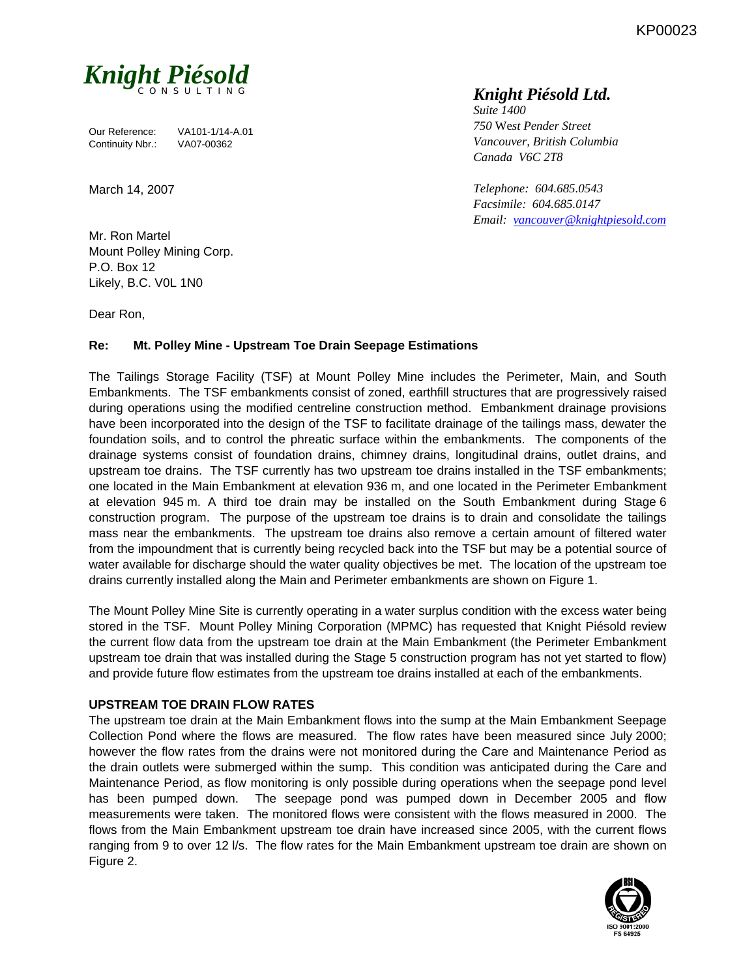

Our Reference: VA101-1/14-A.01<br>Continuity Nbr.: VA07-00362 Continuity Nbr.:

March 14, 2007

*Suite 1400 750* We*st Pender Street Vancouver, British Columbia Canada V6C 2T8* 

*Telephone: 604.685.0543 Facsimile: 604.685.0147 Email: vancouver@knightpiesold.com*

Mr. Ron Martel Mount Polley Mining Corp. P.O. Box 12 Likely, B.C. V0L 1N0

Dear Ron,

## **Re: Mt. Polley Mine - Upstream Toe Drain Seepage Estimations**

The Tailings Storage Facility (TSF) at Mount Polley Mine includes the Perimeter, Main, and South Embankments. The TSF embankments consist of zoned, earthfill structures that are progressively raised during operations using the modified centreline construction method. Embankment drainage provisions have been incorporated into the design of the TSF to facilitate drainage of the tailings mass, dewater the foundation soils, and to control the phreatic surface within the embankments. The components of the drainage systems consist of foundation drains, chimney drains, longitudinal drains, outlet drains, and upstream toe drains. The TSF currently has two upstream toe drains installed in the TSF embankments; one located in the Main Embankment at elevation 936 m, and one located in the Perimeter Embankment at elevation 945 m. A third toe drain may be installed on the South Embankment during Stage 6 construction program. The purpose of the upstream toe drains is to drain and consolidate the tailings mass near the embankments. The upstream toe drains also remove a certain amount of filtered water from the impoundment that is currently being recycled back into the TSF but may be a potential source of water available for discharge should the water quality objectives be met. The location of the upstream toe drains currently installed along the Main and Perimeter embankments are shown on Figure 1.

The Mount Polley Mine Site is currently operating in a water surplus condition with the excess water being stored in the TSF. Mount Polley Mining Corporation (MPMC) has requested that Knight Piésold review the current flow data from the upstream toe drain at the Main Embankment (the Perimeter Embankment upstream toe drain that was installed during the Stage 5 construction program has not yet started to flow) and provide future flow estimates from the upstream toe drains installed at each of the embankments.

## **UPSTREAM TOE DRAIN FLOW RATES**

The upstream toe drain at the Main Embankment flows into the sump at the Main Embankment Seepage Collection Pond where the flows are measured. The flow rates have been measured since July 2000; however the flow rates from the drains were not monitored during the Care and Maintenance Period as the drain outlets were submerged within the sump. This condition was anticipated during the Care and Maintenance Period, as flow monitoring is only possible during operations when the seepage pond level has been pumped down. The seepage pond was pumped down in December 2005 and flow measurements were taken. The monitored flows were consistent with the flows measured in 2000. The flows from the Main Embankment upstream toe drain have increased since 2005, with the current flows ranging from 9 to over 12 l/s. The flow rates for the Main Embankment upstream toe drain are shown on Figure 2.

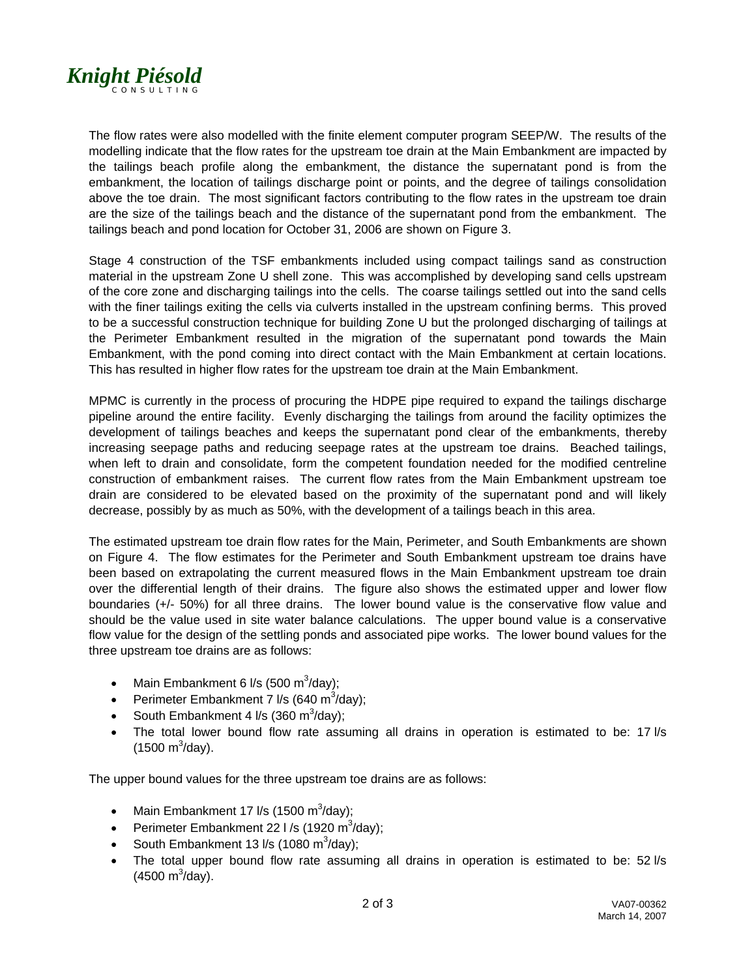

The flow rates were also modelled with the finite element computer program SEEP/W. The results of the modelling indicate that the flow rates for the upstream toe drain at the Main Embankment are impacted by the tailings beach profile along the embankment, the distance the supernatant pond is from the embankment, the location of tailings discharge point or points, and the degree of tailings consolidation above the toe drain. The most significant factors contributing to the flow rates in the upstream toe drain are the size of the tailings beach and the distance of the supernatant pond from the embankment. The tailings beach and pond location for October 31, 2006 are shown on Figure 3.

Stage 4 construction of the TSF embankments included using compact tailings sand as construction material in the upstream Zone U shell zone. This was accomplished by developing sand cells upstream of the core zone and discharging tailings into the cells. The coarse tailings settled out into the sand cells with the finer tailings exiting the cells via culverts installed in the upstream confining berms. This proved to be a successful construction technique for building Zone U but the prolonged discharging of tailings at the Perimeter Embankment resulted in the migration of the supernatant pond towards the Main Embankment, with the pond coming into direct contact with the Main Embankment at certain locations. This has resulted in higher flow rates for the upstream toe drain at the Main Embankment.

MPMC is currently in the process of procuring the HDPE pipe required to expand the tailings discharge pipeline around the entire facility. Evenly discharging the tailings from around the facility optimizes the development of tailings beaches and keeps the supernatant pond clear of the embankments, thereby increasing seepage paths and reducing seepage rates at the upstream toe drains. Beached tailings, when left to drain and consolidate, form the competent foundation needed for the modified centreline construction of embankment raises. The current flow rates from the Main Embankment upstream toe drain are considered to be elevated based on the proximity of the supernatant pond and will likely decrease, possibly by as much as 50%, with the development of a tailings beach in this area.

The estimated upstream toe drain flow rates for the Main, Perimeter, and South Embankments are shown on Figure 4. The flow estimates for the Perimeter and South Embankment upstream toe drains have been based on extrapolating the current measured flows in the Main Embankment upstream toe drain over the differential length of their drains. The figure also shows the estimated upper and lower flow boundaries (+/- 50%) for all three drains. The lower bound value is the conservative flow value and should be the value used in site water balance calculations. The upper bound value is a conservative flow value for the design of the settling ponds and associated pipe works. The lower bound values for the three upstream toe drains are as follows:

- Main Embankment 6 l/s (500 m<sup>3</sup>/day);
- Perimeter Embankment 7 I/s (640 m<sup>3</sup>/day);
- South Embankment 4  $\sqrt{s}$  (360 m<sup>3</sup>/day);
- The total lower bound flow rate assuming all drains in operation is estimated to be: 17 l/s  $(1500 \text{ m}^3/\text{day})$ .

The upper bound values for the three upstream toe drains are as follows:

- Main Embankment 17 I/s (1500 m<sup>3</sup>/day);
- Perimeter Embankment 22 l /s (1920 m<sup>3</sup>/day);
- South Embankment 13 I/s (1080 m<sup>3</sup>/day);
- The total upper bound flow rate assuming all drains in operation is estimated to be: 52 l/s  $(4500 \text{ m}^3/\text{day})$ .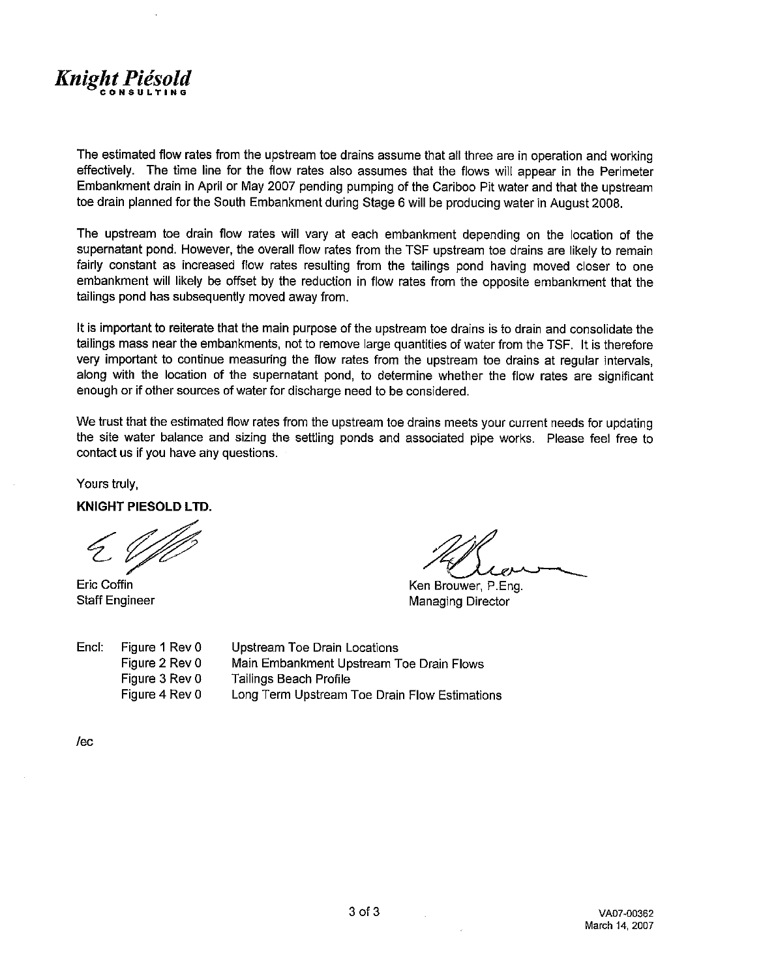

The estimated flow rates from the upstream toe drains assume that all three are in operation and working effectively. The time line for the flow rates also assumes that the flows will appear in the Perimeter Embankment drain in April or May 2007 pending pumping of the Cariboo Pit water and that the upstream toe drain planned for the South Embankment during Stage 6 will be producing water in August 2008.

The upstream toe drain flow rates will vary at each embankment depending on the location of the supernatant pond. However, the overall flow rates from the TSF upstream toe drains are likely to remain fairly constant as increased flow rates resulting from the tailings pond having moved closer to one embankment will likely be offset by the reduction in flow rates from the opposite embankment that the tailings pond has subsequently moved away from.

It is important to reiterate that the main purpose of the upstream toe drains is to drain and consolidate the tailings mass near the embankments, not to remove large quantities of water from the TSF. It is therefore very important to continue measuring the flow rates from the upstream toe drains at regular intervals, along with the location of the supernatant pond, to determine whether the flow rates are significant enough or if other sources of water for discharge need to be considered.

We trust that the estimated flow rates from the upstream toe drains meets your current needs for updating the site water balance and sizing the settling ponds and associated pipe works. Please feel free to contact us if you have any questions.

Yours truly,

**KNIGHT PIESOLD LTD.** 

**Eric Coffin Staff Engineer** 

| ∥             |  |
|---------------|--|
|               |  |
| $\mathscr{L}$ |  |
|               |  |

Ken Brouwer, P.Eng. **Managing Director** 

| Enci: | Figure 1 Rev 0 | Upstream Toe Drain Locations                  |  |  |  |  |  |
|-------|----------------|-----------------------------------------------|--|--|--|--|--|
|       | Figure 2 Rev 0 | Main Embankment Upstream Toe Drain Flows      |  |  |  |  |  |
|       | Figure 3 Rev 0 | Tailings Beach Profile                        |  |  |  |  |  |
|       | Figure 4 Rev 0 | Long Term Upstream Toe Drain Flow Estimations |  |  |  |  |  |

 $Iec$ 

 $\sim$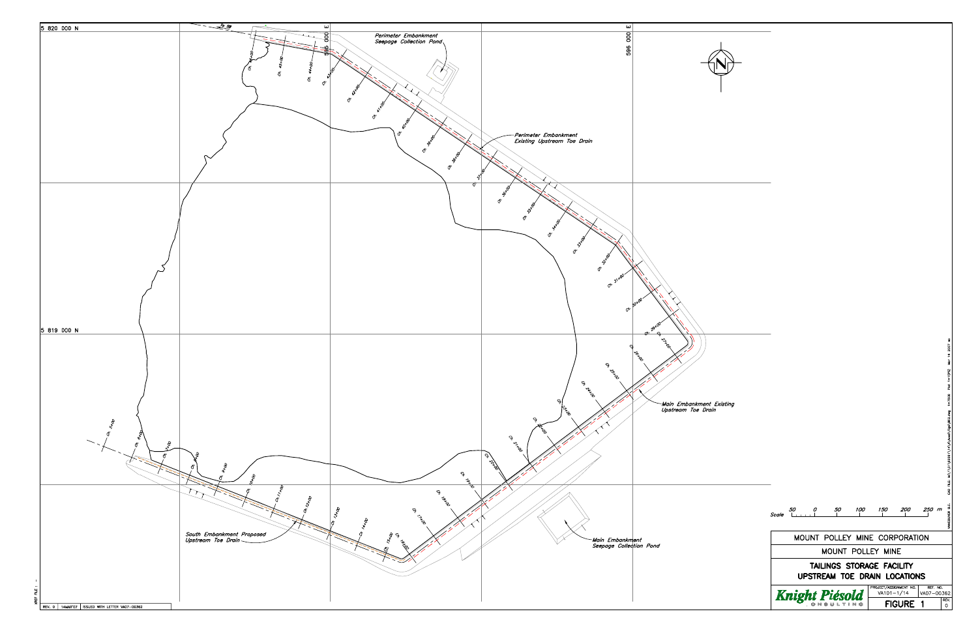

|       |                                                                           |    |                       |  |     |                               |                        |                |     |                        |           | Plot 1=1(PS) Mar 14 2007 sc                           |
|-------|---------------------------------------------------------------------------|----|-----------------------|--|-----|-------------------------------|------------------------|----------------|-----|------------------------|-----------|-------------------------------------------------------|
|       |                                                                           |    |                       |  |     |                               |                        |                |     |                        |           |                                                       |
| sting |                                                                           |    |                       |  |     |                               |                        |                |     |                        |           |                                                       |
|       |                                                                           |    |                       |  |     |                               |                        |                |     |                        |           |                                                       |
|       |                                                                           |    |                       |  |     |                               |                        |                |     |                        |           |                                                       |
|       |                                                                           |    |                       |  |     |                               |                        |                |     |                        |           |                                                       |
|       |                                                                           |    |                       |  |     |                               |                        |                |     |                        |           | CAD FILE: M:\1\01\00001\14\A\Acod\Figs\B02.dwg 1=7500 |
|       |                                                                           | 50 | 0                     |  | 50  | 100                           | 150                    |                | 200 | 250 m                  |           |                                                       |
|       | Scale                                                                     |    |                       |  |     |                               |                        |                |     |                        |           | VANCOUVER B.C.                                        |
|       |                                                                           |    |                       |  |     | MOUNT POLLEY MINE CORPORATION |                        | <b>MINE</b>    |     |                        |           |                                                       |
|       | MOUNT POLLEY<br>TAILINGS STORAGE FACILITY<br>UPSTREAM TOE DRAIN LOCATIONS |    |                       |  |     |                               |                        |                |     |                        |           |                                                       |
|       |                                                                           |    |                       |  |     |                               | PROJECT/ASSIGNMENT NO. | $VA101 - 1/14$ |     | REF. NO.<br>VA07-00362 |           |                                                       |
|       |                                                                           |    | <b>Knight Piésold</b> |  | UL. | TINO                          |                        | <b>FIGURE</b>  |     | 1                      | REV.<br>0 |                                                       |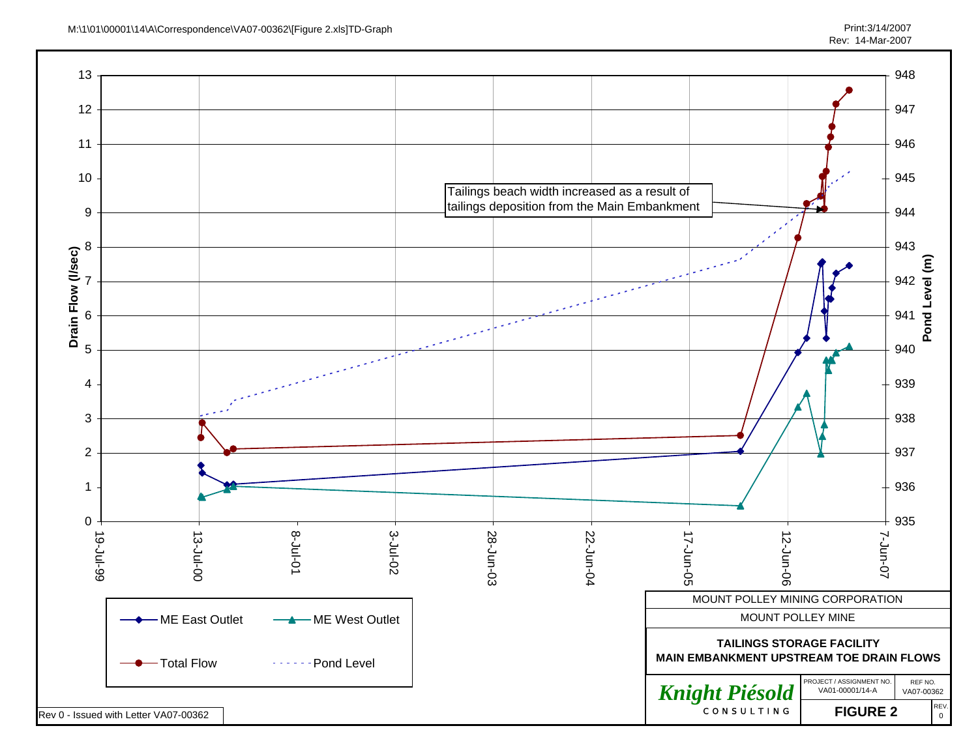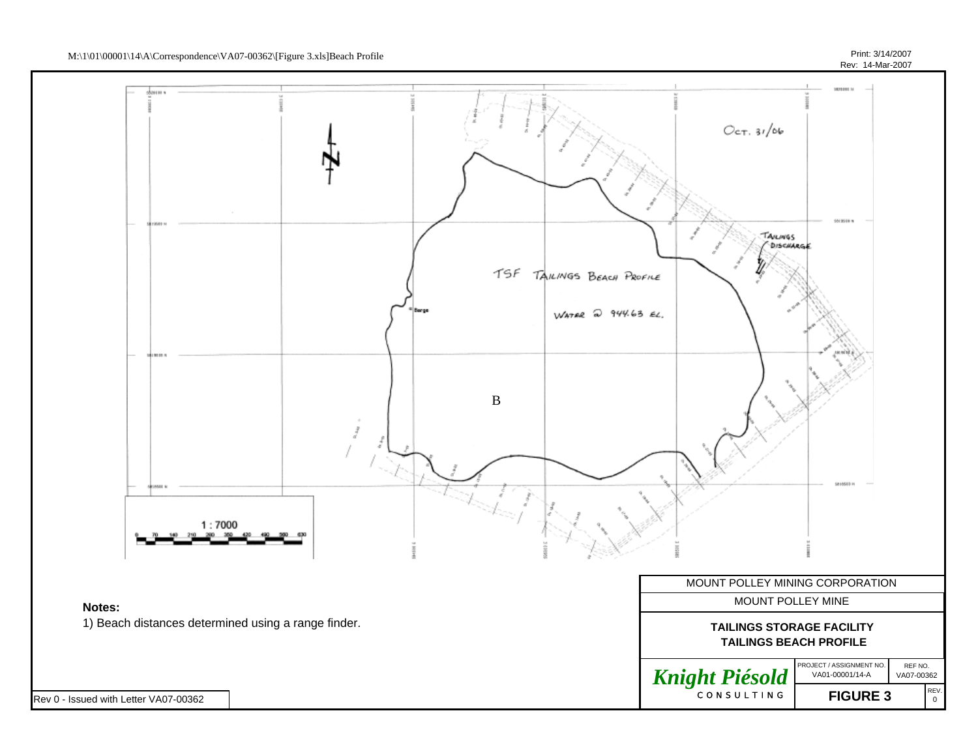M:\1\01\00001\14\A\Correspondence\VA07-00362\[Figure 3.xls]Beach Profile Print: 3/14/2007